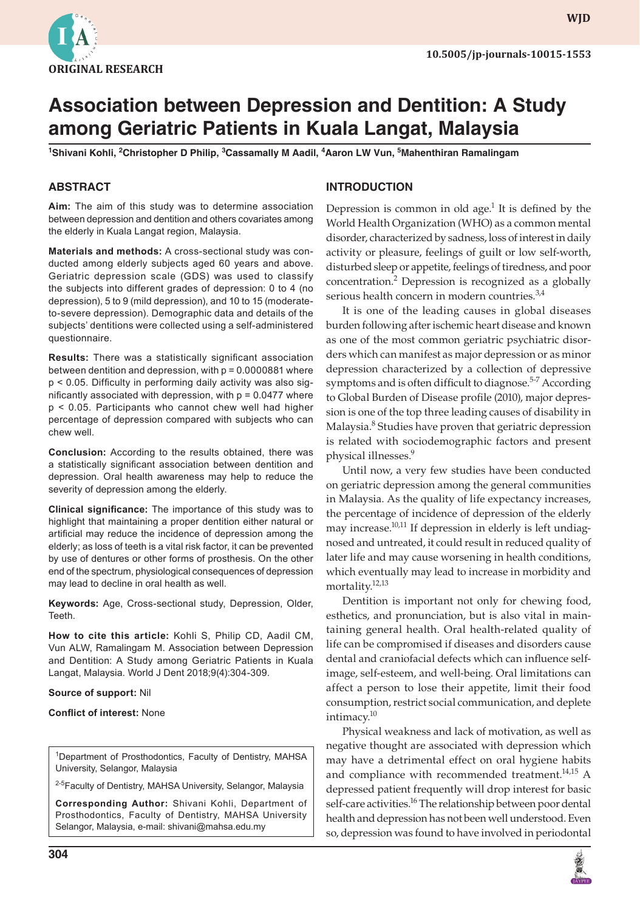

**WJD**

# **Association between Depression and Dentition: A Study among Geriatric Patients in Kuala Langat, Malaysia**

**1 Shivani Kohli, 2 Christopher D Philip, 3 Cassamally M Aadil, <sup>4</sup> Aaron LW Vun, 5 Mahenthiran Ramalingam**

#### **ABSTRACT**

**Aim:** The aim of this study was to determine association between depression and dentition and others covariates among the elderly in Kuala Langat region, Malaysia.

**Materials and methods:** A cross-sectional study was conducted among elderly subjects aged 60 years and above. Geriatric depression scale (GDS) was used to classify the subjects into different grades of depression: 0 to 4 (no depression), 5 to 9 (mild depression), and 10 to 15 (moderateto-severe depression). Demographic data and details of the subjects' dentitions were collected using a self-administered questionnaire.

**Results:** There was a statistically significant association between dentition and depression, with  $p = 0.0000881$  where p < 0.05. Difficulty in performing daily activity was also significantly associated with depression, with  $p = 0.0477$  where p < 0.05. Participants who cannot chew well had higher percentage of depression compared with subjects who can chew well.

**Conclusion:** According to the results obtained, there was a statistically significant association between dentition and depression. Oral health awareness may help to reduce the severity of depression among the elderly.

**Clinical significance:** The importance of this study was to highlight that maintaining a proper dentition either natural or artificial may reduce the incidence of depression among the elderly; as loss of teeth is a vital risk factor, it can be prevented by use of dentures or other forms of prosthesis. On the other end of the spectrum, physiological consequences of depression may lead to decline in oral health as well.

**Keywords:** Age, Cross-sectional study, Depression, Older, Teeth.

**How to cite this article:** Kohli S, Philip CD, Aadil CM, Vun ALW, Ramalingam M. Association between Depression and Dentition: A Study among Geriatric Patients in Kuala Langat, Malaysia. World J Dent 2018;9(4):304-309.

#### **Source of support:** Nil

#### **Conflict of interest:** None

<sup>1</sup>Department of Prosthodontics, Faculty of Dentistry, MAHSA University, Selangor, Malaysia

<sup>2-5</sup>Faculty of Dentistry, MAHSA University, Selangor, Malaysia

**Corresponding Author:** Shivani Kohli, Department of Prosthodontics, Faculty of Dentistry, MAHSA University Selangor, Malaysia, e-mail: shivani@mahsa.edu.my

# **INTRODUCTION**

Depression is common in old age.<sup>1</sup> It is defined by the World Health Organization (WHO) as a common mental disorder, characterized by sadness, loss of interest in daily activity or pleasure, feelings of guilt or low self-worth, disturbed sleep or appetite, feelings of tiredness, and poor concentration.<sup>2</sup> Depression is recognized as a globally serious health concern in modern countries.<sup>3,4</sup>

It is one of the leading causes in global diseases burden following after ischemic heart disease and known as one of the most common geriatric psychiatric disorders which can manifest as major depression or as minor depression characterized by a collection of depressive symptoms and is often difficult to diagnose.<sup>5-7</sup> According to Global Burden of Disease profile (2010), major depression is one of the top three leading causes of disability in Malaysia.<sup>8</sup> Studies have proven that geriatric depression is related with sociodemographic factors and present physical illnesses.<sup>9</sup>

Until now, a very few studies have been conducted on geriatric depression among the general communities in Malaysia. As the quality of life expectancy increases, the percentage of incidence of depression of the elderly may increase.<sup>10,11</sup> If depression in elderly is left undiagnosed and untreated, it could result in reduced quality of later life and may cause worsening in health conditions, which eventually may lead to increase in morbidity and mortality.<sup>12,13</sup>

Dentition is important not only for chewing food, esthetics, and pronunciation, but is also vital in maintaining general health. Oral health-related quality of life can be compromised if diseases and disorders cause dental and craniofacial defects which can influence selfimage, self-esteem, and well-being. Oral limitations can affect a person to lose their appetite, limit their food consumption, restrict social communication, and deplete intimacy.<sup>10</sup>

Physical weakness and lack of motivation, as well as negative thought are associated with depression which may have a detrimental effect on oral hygiene habits and compliance with recommended treatment.<sup>14,15</sup> A depressed patient frequently will drop interest for basic self-care activities.<sup>16</sup> The relationship between poor dental health and depression has not been well understood. Even so, depression was found to have involved in periodontal

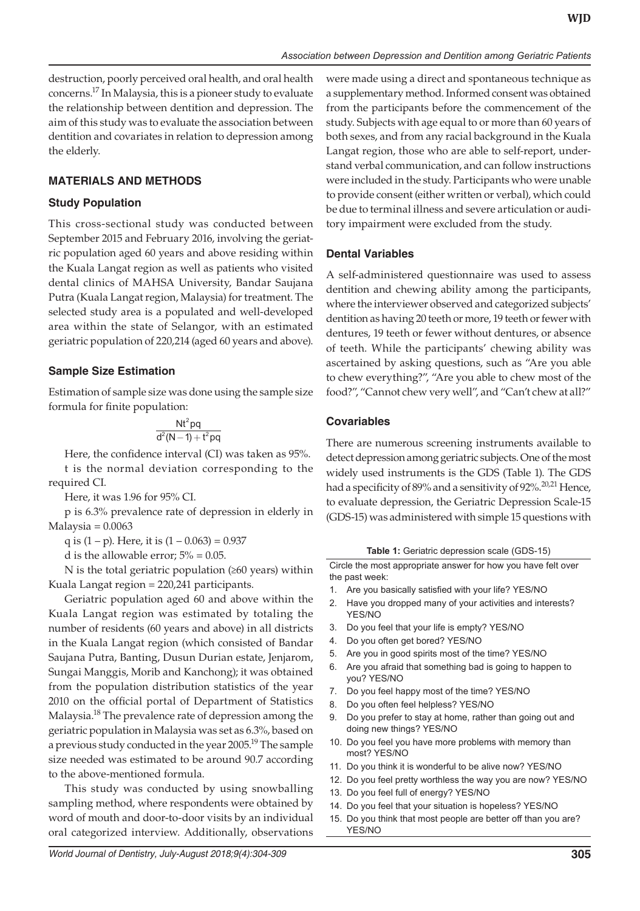destruction, poorly perceived oral health, and oral health concerns.17 In Malaysia, this is a pioneer study to evaluate the relationship between dentition and depression. The aim of this study was to evaluate the association between dentition and covariates in relation to depression among the elderly.

# **MATERIALS AND METHODS**

# **Study Population**

This cross-sectional study was conducted between September 2015 and February 2016, involving the geriatric population aged 60 years and above residing within the Kuala Langat region as well as patients who visited dental clinics of MAHSA University, Bandar Saujana Putra (Kuala Langat region, Malaysia) for treatment. The selected study area is a populated and well-developed area within the state of Selangor, with an estimated geriatric population of 220,214 (aged 60 years and above).

# **Sample Size Estimation**

Estimation of sample size was done using the sample size formula for finite population:

$$
\frac{Nt^2pq}{d^2(N-1)+t^2pq}\\
$$

Here, the confidence interval (CI) was taken as 95%. t is the normal deviation corresponding to the required CI.

Here, it was 1.96 for 95% CI.

p is 6.3% prevalence rate of depression in elderly in  $Malaysia = 0.0063$ 

q is  $(1 - p)$ . Here, it is  $(1 - 0.063) = 0.937$ 

d is the allowable error;  $5\% = 0.05$ .

N is the total geriatric population  $(≥60$  years) within Kuala Langat region = 220,241 participants.

Geriatric population aged 60 and above within the Kuala Langat region was estimated by totaling the number of residents (60 years and above) in all districts in the Kuala Langat region (which consisted of Bandar Saujana Putra, Banting, Dusun Durian estate, Jenjarom, Sungai Manggis, Morib and Kanchong); it was obtained from the population distribution statistics of the year 2010 on the official portal of Department of Statistics Malaysia.<sup>18</sup> The prevalence rate of depression among the geriatric population in Malaysia was set as 6.3%, based on a previous study conducted in the year 2005.<sup>19</sup> The sample size needed was estimated to be around 90.7 according to the above-mentioned formula.

This study was conducted by using snowballing sampling method, where respondents were obtained by word of mouth and door-to-door visits by an individual oral categorized interview. Additionally, observations

*World Journal of Dentistry, July-August 2018;9(4):304-309* **305**

were made using a direct and spontaneous technique as a supplementary method. Informed consent was obtained from the participants before the commencement of the study. Subjects with age equal to or more than 60 years of both sexes, and from any racial background in the Kuala Langat region, those who are able to self-report, understand verbal communication, and can follow instructions were included in the study. Participants who were unable to provide consent (either written or verbal), which could be due to terminal illness and severe articulation or auditory impairment were excluded from the study.

## **Dental Variables**

A self-administered questionnaire was used to assess dentition and chewing ability among the participants, where the interviewer observed and categorized subjects' dentition as having 20 teeth or more, 19 teeth or fewer with dentures, 19 teeth or fewer without dentures, or absence of teeth. While the participants' chewing ability was ascertained by asking questions, such as "Are you able to chew everything?", "Are you able to chew most of the food?", "Cannot chew very well", and "Can't chew at all?"

# **Covariables**

There are numerous screening instruments available to detect depression among geriatric subjects. One of the most widely used instruments is the GDS (Table 1). The GDS had a specificity of 89% and a sensitivity of 92%.<sup>20,21</sup> Hence, to evaluate depression, the Geriatric Depression Scale-15 (GDS-15) was administered with simple 15 questions with

**Table 1:** Geriatric depression scale (GDS-15)

Circle the most appropriate answer for how you have felt over the past week:

- 1. Are you basically satisfied with your life? YES/NO
- 2. Have you dropped many of your activities and interests? YES/NO
- 3. Do you feel that your life is empty? YES/NO
- 4. Do you often get bored? YES/NO
- 5. Are you in good spirits most of the time? YES/NO
- 6. Are you afraid that something bad is going to happen to you? YES/NO
- 7. Do you feel happy most of the time? YES/NO
- 8. Do you often feel helpless? YES/NO
- 9. Do you prefer to stay at home, rather than going out and doing new things? YES/NO
- 10. Do you feel you have more problems with memory than most? YES/NO
- 11. Do you think it is wonderful to be alive now? YES/NO
- 12. Do you feel pretty worthless the way you are now? YES/NO
- 13. Do you feel full of energy? YES/NO
- 14. Do you feel that your situation is hopeless? YES/NO
- 15. Do you think that most people are better off than you are? YES/NO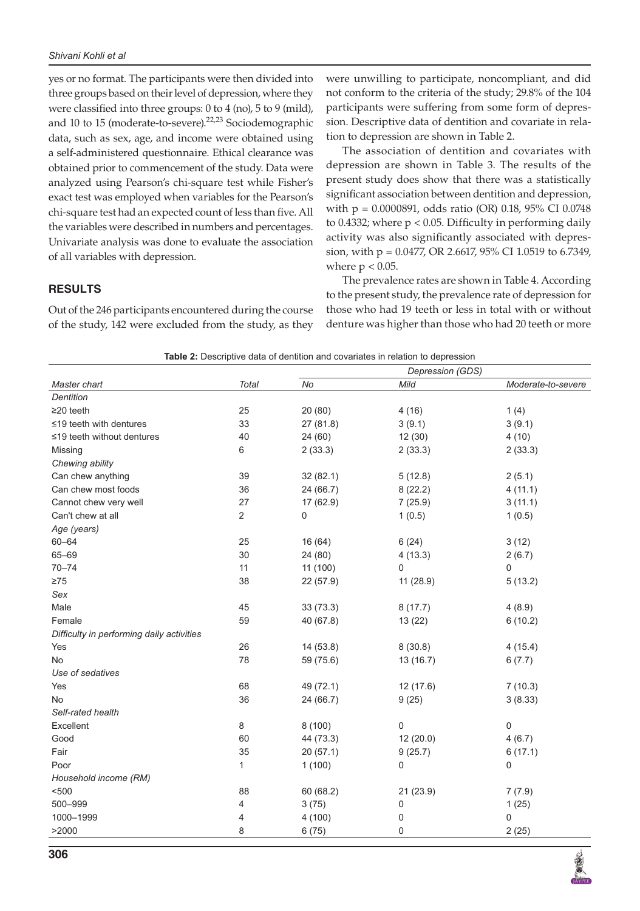yes or no format. The participants were then divided into three groups based on their level of depression, where they were classified into three groups: 0 to 4 (no), 5 to 9 (mild), and 10 to 15 (moderate-to-severe).<sup>22,23</sup> Sociodemographic data, such as sex, age, and income were obtained using a self-administered questionnaire. Ethical clearance was obtained prior to commencement of the study. Data were analyzed using Pearson's chi-square test while Fisher's exact test was employed when variables for the Pearson's chi-square test had an expected count of less than five. All the variables were described in numbers and percentages. Univariate analysis was done to evaluate the association of all variables with depression.

were unwilling to participate, noncompliant, and did not conform to the criteria of the study; 29.8% of the 104 participants were suffering from some form of depression. Descriptive data of dentition and covariate in relation to depression are shown in Table 2.

The association of dentition and covariates with depression are shown in Table 3. The results of the present study does show that there was a statistically significant association between dentition and depression, with p = 0.0000891, odds ratio (OR) 0.18, 95% CI 0.0748 to 0.4332; where  $p < 0.05$ . Difficulty in performing daily activity was also significantly associated with depression, with p = 0.0477, OR 2.6617, 95% CI 1.0519 to 6.7349, where  $p < 0.05$ .

## **RESULTS**

Out of the 246 participants encountered during the course of the study, 142 were excluded from the study, as they

The prevalence rates are shown in Table 4. According to the present study, the prevalence rate of depression for those who had 19 teeth or less in total with or without denture was higher than those who had 20 teeth or more

| Table 2: Descriptive data of dentition and covariates in relation to depression |  |  |
|---------------------------------------------------------------------------------|--|--|
|---------------------------------------------------------------------------------|--|--|

|                                           |                |                    | <b>Table 2.</b> Descriptive data of definition and covariates in relation to depression<br>Depression (GDS) |                    |
|-------------------------------------------|----------------|--------------------|-------------------------------------------------------------------------------------------------------------|--------------------|
| Master chart                              | <b>Total</b>   | No                 | Mild                                                                                                        | Moderate-to-severe |
| Dentition                                 |                |                    |                                                                                                             |                    |
| $\geq$ 20 teeth                           | 25             | 20 (80)            | 4(16)                                                                                                       | 1(4)               |
| $\leq$ 19 teeth with dentures             | 33             | 27 (81.8)          | 3(9.1)                                                                                                      | 3(9.1)             |
| ≤19 teeth without dentures                | 40             | 24 (60)            | 12(30)                                                                                                      | 4(10)              |
| Missing                                   | 6              | 2(33.3)<br>2(33.3) |                                                                                                             | 2(33.3)            |
| Chewing ability                           |                |                    |                                                                                                             |                    |
| Can chew anything                         | 39             | 32 (82.1)          | 5(12.8)                                                                                                     | 2(5.1)             |
| Can chew most foods                       | 36             | 24 (66.7)          | 8(22.2)                                                                                                     | 4(11.1)            |
| Cannot chew very well                     | 27             | 17 (62.9)          | 7(25.9)                                                                                                     | 3(11.1)            |
| Can't chew at all                         | $\overline{2}$ | 0                  | 1(0.5)                                                                                                      | 1(0.5)             |
| Age (years)                               |                |                    |                                                                                                             |                    |
| $60 - 64$                                 | 25             | 16 (64)            | 6(24)                                                                                                       | 3(12)              |
| 65-69                                     | 30             | 24 (80)            | 4(13.3)                                                                                                     | 2(6.7)             |
| $70 - 74$                                 | 11             | 11 (100)           | $\mathbf 0$                                                                                                 | $\mathbf 0$        |
| $\geq 75$                                 | 38             | 22 (57.9)          | 11 (28.9)                                                                                                   | 5(13.2)            |
| Sex                                       |                |                    |                                                                                                             |                    |
| Male                                      | 45             | 33 (73.3)          | 8(17.7)                                                                                                     | 4(8.9)             |
| Female                                    | 59             | 40 (67.8)          | 13(22)                                                                                                      | 6(10.2)            |
| Difficulty in performing daily activities |                |                    |                                                                                                             |                    |
| Yes                                       | 26             | 14 (53.8)          | 8(30.8)                                                                                                     | 4(15.4)            |
| No                                        | 78             | 59 (75.6)          | 13 (16.7)                                                                                                   | 6(7.7)             |
| Use of sedatives                          |                |                    |                                                                                                             |                    |
| Yes                                       | 68             | 49 (72.1)          | 12(17.6)                                                                                                    | 7(10.3)            |
| <b>No</b>                                 | 36             | 24 (66.7)          | 9(25)                                                                                                       | 3(8.33)            |
| Self-rated health                         |                |                    |                                                                                                             |                    |
| Excellent                                 | $\,8\,$        | 8(100)             | 0                                                                                                           | $\mathsf 0$        |
| Good                                      | 60             | 44 (73.3)          | 12 (20.0)                                                                                                   | 4(6.7)             |
| Fair                                      | 35             | 20 (57.1)          | 9(25.7)                                                                                                     | 6(17.1)            |
| Poor                                      | 1              | 1(100)             | 0                                                                                                           | 0                  |
| Household income (RM)                     |                |                    |                                                                                                             |                    |
| < 500                                     | 88             | 60(68.2)           | 21 (23.9)                                                                                                   | 7(7.9)             |
| 500-999                                   | 4              | 3(75)              | 0                                                                                                           | 1(25)              |
| 1000-1999                                 | 4              | 4(100)             | 0                                                                                                           | 0                  |
| >2000                                     | 8              | 6(75)              | 0                                                                                                           | 2(25)              |

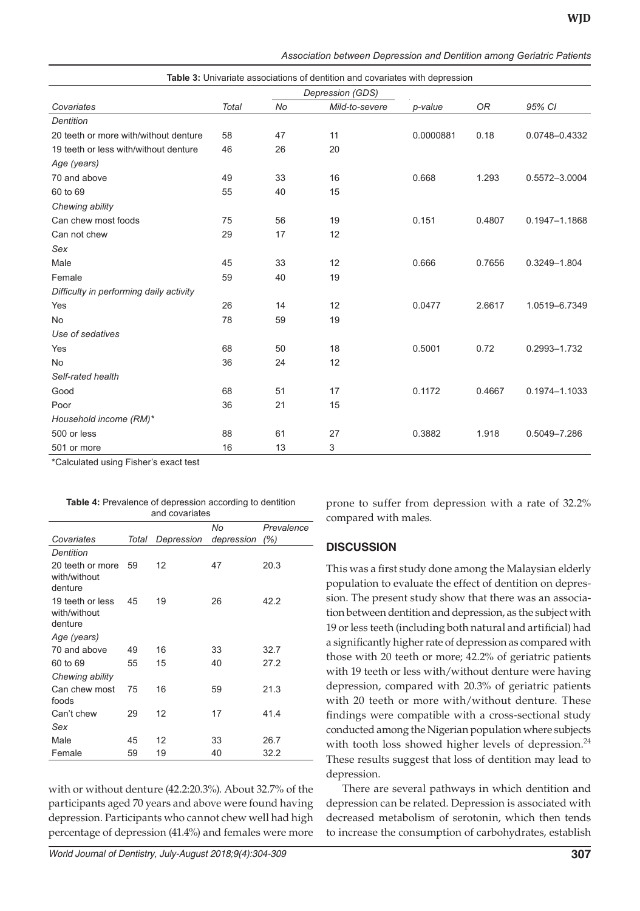| Table 3: Univariate associations of dentition and covariates with depression |                  |           |                |           |           |               |
|------------------------------------------------------------------------------|------------------|-----------|----------------|-----------|-----------|---------------|
|                                                                              | Depression (GDS) |           |                |           |           |               |
| Covariates                                                                   | <b>Total</b>     | <b>No</b> | Mild-to-severe | p-value   | <b>OR</b> | 95% CI        |
| <b>Dentition</b>                                                             |                  |           |                |           |           |               |
| 20 teeth or more with/without denture                                        | 58               | 47        | 11             | 0.0000881 | 0.18      | 0.0748-0.4332 |
| 19 teeth or less with/without denture                                        | 46               | 26        | 20             |           |           |               |
| Age (years)                                                                  |                  |           |                |           |           |               |
| 70 and above                                                                 | 49               | 33        | 16             | 0.668     | 1.293     | 0.5572-3.0004 |
| 60 to 69                                                                     | 55               | 40        | 15             |           |           |               |
| Chewing ability                                                              |                  |           |                |           |           |               |
| Can chew most foods                                                          | 75               | 56        | 19             | 0.151     | 0.4807    | 0.1947-1.1868 |
| Can not chew                                                                 | 29               | 17        | 12             |           |           |               |
| Sex                                                                          |                  |           |                |           |           |               |
| Male                                                                         | 45               | 33        | 12             | 0.666     | 0.7656    | 0.3249-1.804  |
| Female                                                                       | 59               | 40        | 19             |           |           |               |
| Difficulty in performing daily activity                                      |                  |           |                |           |           |               |
| Yes                                                                          | 26               | 14        | 12             | 0.0477    | 2.6617    | 1.0519-6.7349 |
| No                                                                           | 78               | 59        | 19             |           |           |               |
| Use of sedatives                                                             |                  |           |                |           |           |               |
| Yes                                                                          | 68               | 50        | 18             | 0.5001    | 0.72      | 0.2993-1.732  |
| <b>No</b>                                                                    | 36               | 24        | 12             |           |           |               |
| Self-rated health                                                            |                  |           |                |           |           |               |
| Good                                                                         | 68               | 51        | 17             | 0.1172    | 0.4667    | 0.1974-1.1033 |
| Poor                                                                         | 36               | 21        | 15             |           |           |               |
| Household income (RM)*                                                       |                  |           |                |           |           |               |
| 500 or less                                                                  | 88               | 61        | 27             | 0.3882    | 1.918     | 0.5049-7.286  |
| 501 or more                                                                  | 16               | 13        | 3              |           |           |               |

*Association between Depression and Dentition among Geriatric Patients*

\*Calculated using Fisher's exact test

**Table 4:** Prevalence of depression according to dentition

| and covariates                              |       |            |            |            |
|---------------------------------------------|-------|------------|------------|------------|
|                                             |       |            | No         | Prevalence |
| Covariates                                  | Total | Depression | depression | (%)        |
| Dentition                                   |       |            |            |            |
| 20 teeth or more<br>with/without<br>denture | 59    | 12         | 47         | 20.3       |
| 19 teeth or less<br>with/without<br>denture | 45    | 19         | 26         | 42.2       |
| Age (years)                                 |       |            |            |            |
| 70 and above                                | 49    | 16         | 33         | 32.7       |
| 60 to 69                                    | 55    | 15         | 40         | 27.2       |
| Chewing ability                             |       |            |            |            |
| Can chew most<br>foods                      | 75    | 16         | 59         | 21.3       |
| Can't chew                                  | 29    | 12         | 17         | 41.4       |
| Sex                                         |       |            |            |            |
| Male                                        | 45    | 12         | 33         | 26.7       |
| Female                                      | 59    | 19         | 40         | 32.2       |

with or without denture (42.2:20.3%). About 32.7% of the participants aged 70 years and above were found having depression. Participants who cannot chew well had high percentage of depression (41.4%) and females were more

*World Journal of Dentistry, July-August 2018;9(4):304-309* **307**

prone to suffer from depression with a rate of 32.2% compared with males.

# **DISCUSSION**

This was a first study done among the Malaysian elderly population to evaluate the effect of dentition on depression. The present study show that there was an association between dentition and depression, as the subject with 19 or less teeth (including both natural and artificial) had a significantly higher rate of depression as compared with those with 20 teeth or more; 42.2% of geriatric patients with 19 teeth or less with/without denture were having depression, compared with 20.3% of geriatric patients with 20 teeth or more with/without denture. These findings were compatible with a cross-sectional study conducted among the Nigerian population where subjects with tooth loss showed higher levels of depression.<sup>24</sup> These results suggest that loss of dentition may lead to depression.

There are several pathways in which dentition and depression can be related. Depression is associated with decreased metabolism of serotonin, which then tends to increase the consumption of carbohydrates, establish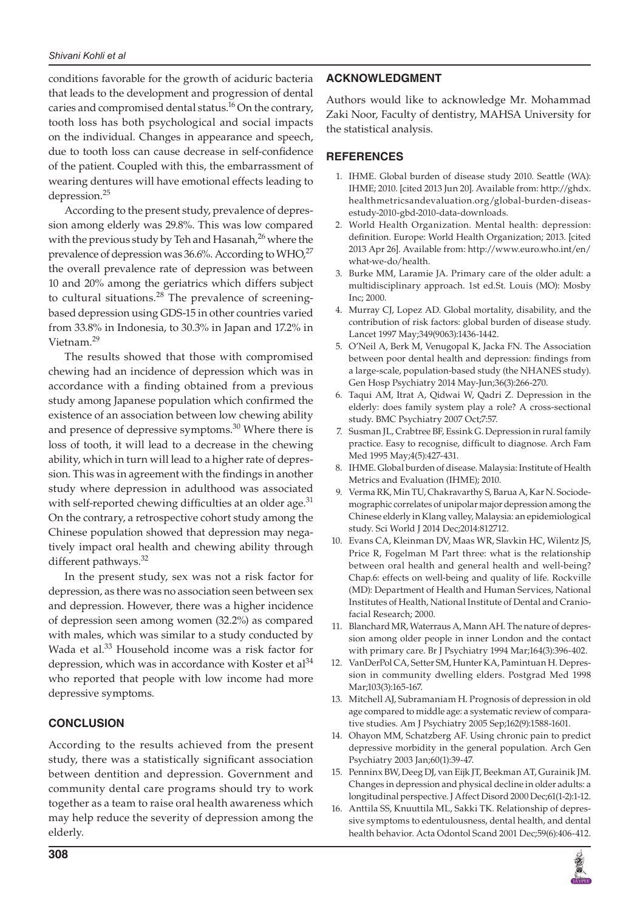#### *Shivani Kohli et al*

conditions favorable for the growth of aciduric bacteria that leads to the development and progression of dental caries and compromised dental status.<sup>16</sup> On the contrary, tooth loss has both psychological and social impacts on the individual. Changes in appearance and speech, due to tooth loss can cause decrease in self-confidence of the patient. Coupled with this, the embarrassment of wearing dentures will have emotional effects leading to depression.<sup>25</sup>

According to the present study, prevalence of depression among elderly was 29.8%. This was low compared with the previous study by Teh and Hasanah, $^{26}$  where the prevalence of depression was 36.6%. According to  $WHO<sup>27</sup>$ the overall prevalence rate of depression was between 10 and 20% among the geriatrics which differs subject to cultural situations.<sup>28</sup> The prevalence of screeningbased depression using GDS-15 in other countries varied from 33.8% in Indonesia, to 30.3% in Japan and 17.2% in Vietnam.<sup>29</sup>

The results showed that those with compromised chewing had an incidence of depression which was in accordance with a finding obtained from a previous study among Japanese population which confirmed the existence of an association between low chewing ability and presence of depressive symptoms. $30$  Where there is loss of tooth, it will lead to a decrease in the chewing ability, which in turn will lead to a higher rate of depression. This was in agreement with the findings in another study where depression in adulthood was associated with self-reported chewing difficulties at an older age.<sup>31</sup> On the contrary, a retrospective cohort study among the Chinese population showed that depression may negatively impact oral health and chewing ability through different pathways.<sup>32</sup>

In the present study, sex was not a risk factor for depression, as there was no association seen between sex and depression. However, there was a higher incidence of depression seen among women (32.2%) as compared with males, which was similar to a study conducted by Wada et al.<sup>33</sup> Household income was a risk factor for depression, which was in accordance with Koster et al<sup>34</sup> who reported that people with low income had more depressive symptoms.

# **CONCLUSION**

According to the results achieved from the present study, there was a statistically significant association between dentition and depression. Government and community dental care programs should try to work together as a team to raise oral health awareness which may help reduce the severity of depression among the elderly.

# **ACKNOWLEDGMENT**

Authors would like to acknowledge Mr. Mohammad Zaki Noor, Faculty of dentistry, MAHSA University for the statistical analysis.

# **REFERENCES**

- 1. IHME. Global burden of disease study 2010. Seattle (WA): IHME; 2010. [cited 2013 Jun 20]. Available from: http://ghdx. healthmetricsandevaluation.org/global-burden-diseasestudy-2010-gbd-2010-data-downloads.
- 2. World Health Organization. Mental health: depression: definition. Europe: World Health Organization; 2013. [cited 2013 Apr 26]. Available from: http://www.euro.who.int/en/ what-we-do/health.
- Burke MM, Laramie JA. Primary care of the older adult: a multidisciplinary approach. 1st ed.St. Louis (MO): Mosby Inc; 2000.
- 4. Murray CJ, Lopez AD. Global mortality, disability, and the contribution of risk factors: global burden of disease study. Lancet 1997 May;349(9063):1436-1442.
- 5. O'Neil A, Berk M, Venugopal K, Jacka FN. The Association between poor dental health and depression: findings from a large-scale, population-based study (the NHANES study). Gen Hosp Psychiatry 2014 May-Jun;36(3):266-270.
- 6. Taqui AM, Itrat A, Qidwai W, Qadri Z. Depression in the elderly: does family system play a role? A cross-sectional study. BMC Psychiatry 2007 Oct;7:57.
- 7. Susman JL, Crabtree BF, Essink G. Depression in rural family practice. Easy to recognise, difficult to diagnose. Arch Fam Med 1995 May;4(5):427-431.
- 8. IHME. Global burden of disease. Malaysia: Institute of Health Metrics and Evaluation (IHME); 2010.
- 9. Verma RK, Min TU, Chakravarthy S, Barua A, Kar N. Sociodemographic correlates of unipolar major depression among the Chinese elderly in Klang valley, Malaysia: an epidemiological study. Sci World J 2014 Dec;2014:812712.
- 10. Evans CA, Kleinman DV, Maas WR, Slavkin HC, Wilentz JS, Price R, Fogelman M Part three: what is the relationship between oral health and general health and well-being? Chap.6: effects on well-being and quality of life. Rockville (MD): Department of Health and Human Services, National Institutes of Health, National Institute of Dental and Craniofacial Research; 2000.
- 11. Blanchard MR, Waterraus A, Mann AH. The nature of depression among older people in inner London and the contact with primary care. Br J Psychiatry 1994 Mar;164(3):396-402.
- 12. VanDerPol CA, Setter SM, Hunter KA, Pamintuan H. Depression in community dwelling elders. Postgrad Med 1998 Mar;103(3):165-167.
- 13. Mitchell AJ, Subramaniam H. Prognosis of depression in old age compared to middle age: a systematic review of comparative studies. Am J Psychiatry 2005 Sep;162(9):1588-1601.
- 14. Ohayon MM, Schatzberg AF. Using chronic pain to predict depressive morbidity in the general population. Arch Gen Psychiatry 2003 Jan;60(1):39-47.
- 15. Penninx BW, Deeg DJ, van Eijk JT, Beekman AT, Gurainik JM. Changes in depression and physical decline in older adults: a longitudinal perspective. J Affect Disord 2000 Dec;61(1-2):1-12.
- 16. Anttila SS, Knuuttila ML, Sakki TK. Relationship of depressive symptoms to edentulousness, dental health, and dental health behavior. Acta Odontol Scand 2001 Dec;59(6):406-412.